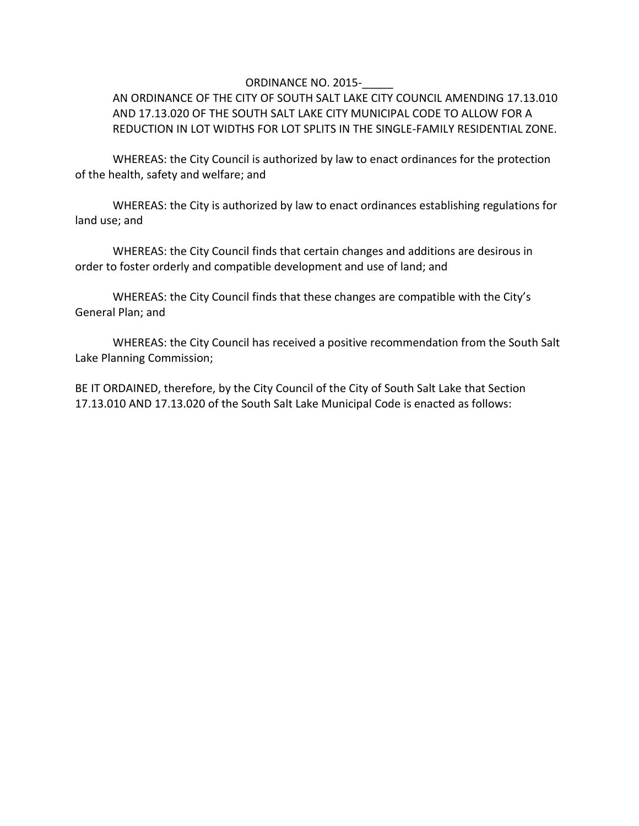## ORDINANCE NO. 2015-

AN ORDINANCE OF THE CITY OF SOUTH SALT LAKE CITY COUNCIL AMENDING 17.13.010 AND 17.13.020 OF THE SOUTH SALT LAKE CITY MUNICIPAL CODE TO ALLOW FOR A REDUCTION IN LOT WIDTHS FOR LOT SPLITS IN THE SINGLE-FAMILY RESIDENTIAL ZONE.

WHEREAS: the City Council is authorized by law to enact ordinances for the protection of the health, safety and welfare; and

WHEREAS: the City is authorized by law to enact ordinances establishing regulations for land use; and

WHEREAS: the City Council finds that certain changes and additions are desirous in order to foster orderly and compatible development and use of land; and

WHEREAS: the City Council finds that these changes are compatible with the City's General Plan; and

WHEREAS: the City Council has received a positive recommendation from the South Salt Lake Planning Commission;

BE IT ORDAINED, therefore, by the City Council of the City of South Salt Lake that Section 17.13.010 AND 17.13.020 of the South Salt Lake Municipal Code is enacted as follows: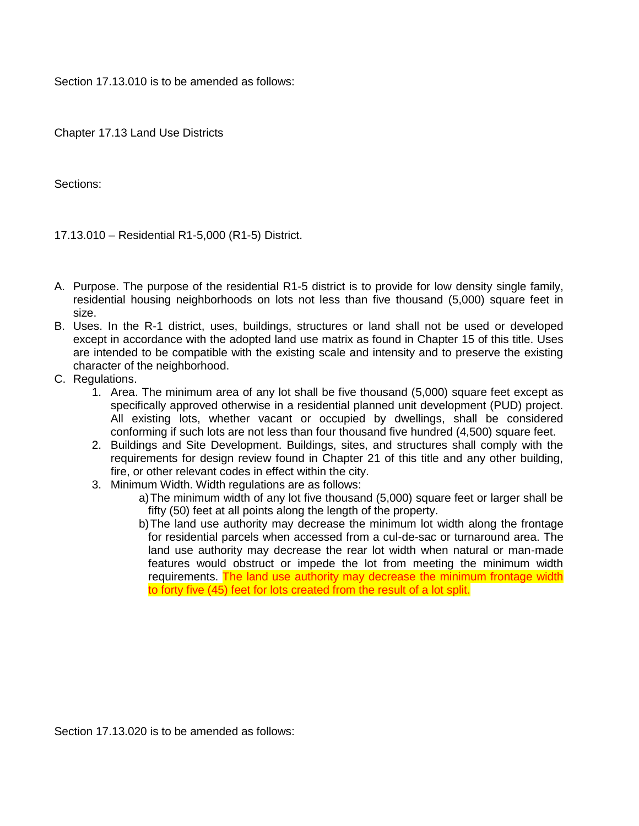Section 17.13.010 is to be amended as follows:

Chapter 17.13 Land Use Districts

Sections:

17.13.010 – Residential R1-5,000 (R1-5) District.

- A. Purpose. The purpose of the residential R1-5 district is to provide for low density single family, residential housing neighborhoods on lots not less than five thousand (5,000) square feet in size.
- B. Uses. In the R-1 district, uses, buildings, structures or land shall not be used or developed except in accordance with the adopted land use matrix as found in Chapter 15 of this title. Uses are intended to be compatible with the existing scale and intensity and to preserve the existing character of the neighborhood.
- C. Regulations.
	- 1. Area. The minimum area of any lot shall be five thousand (5,000) square feet except as specifically approved otherwise in a residential planned unit development (PUD) project. All existing lots, whether vacant or occupied by dwellings, shall be considered conforming if such lots are not less than four thousand five hundred (4,500) square feet.
	- 2. Buildings and Site Development. Buildings, sites, and structures shall comply with the requirements for design review found in Chapter 21 of this title and any other building, fire, or other relevant codes in effect within the city.
	- 3. Minimum Width. Width regulations are as follows:
		- a)The minimum width of any lot five thousand (5,000) square feet or larger shall be fifty (50) feet at all points along the length of the property.
		- b)The land use authority may decrease the minimum lot width along the frontage for residential parcels when accessed from a cul-de-sac or turnaround area. The land use authority may decrease the rear lot width when natural or man-made features would obstruct or impede the lot from meeting the minimum width requirements. The land use authority may decrease the minimum frontage width to forty five (45) feet for lots created from the result of a lot split.

Section 17.13.020 is to be amended as follows: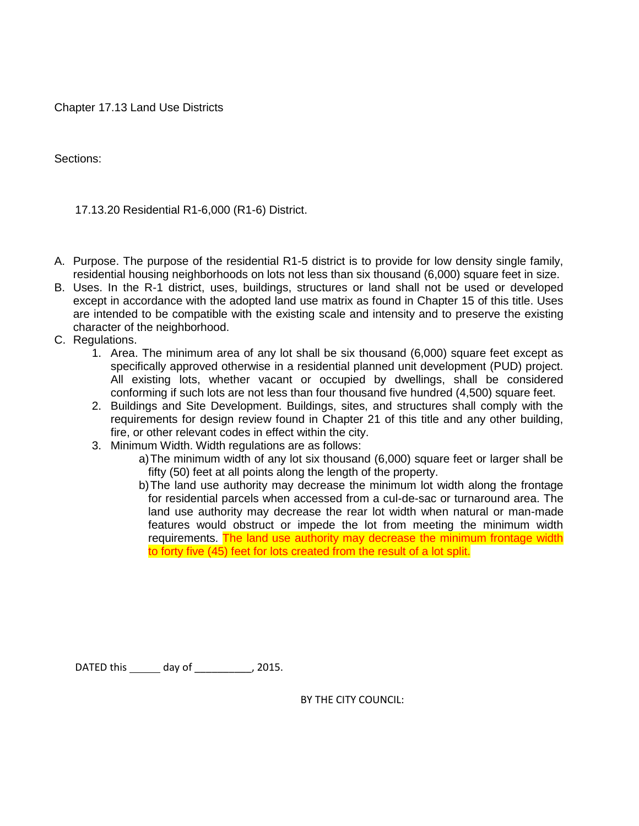Chapter 17.13 Land Use Districts

Sections:

17.13.20 Residential R1-6,000 (R1-6) District.

- A. Purpose. The purpose of the residential R1-5 district is to provide for low density single family, residential housing neighborhoods on lots not less than six thousand (6,000) square feet in size.
- B. Uses. In the R-1 district, uses, buildings, structures or land shall not be used or developed except in accordance with the adopted land use matrix as found in Chapter 15 of this title. Uses are intended to be compatible with the existing scale and intensity and to preserve the existing character of the neighborhood.
- C. Regulations.
	- 1. Area. The minimum area of any lot shall be six thousand (6,000) square feet except as specifically approved otherwise in a residential planned unit development (PUD) project. All existing lots, whether vacant or occupied by dwellings, shall be considered conforming if such lots are not less than four thousand five hundred (4,500) square feet.
	- 2. Buildings and Site Development. Buildings, sites, and structures shall comply with the requirements for design review found in Chapter 21 of this title and any other building, fire, or other relevant codes in effect within the city.
	- 3. Minimum Width. Width regulations are as follows:
		- a)The minimum width of any lot six thousand (6,000) square feet or larger shall be fifty (50) feet at all points along the length of the property.
		- b)The land use authority may decrease the minimum lot width along the frontage for residential parcels when accessed from a cul-de-sac or turnaround area. The land use authority may decrease the rear lot width when natural or man-made features would obstruct or impede the lot from meeting the minimum width requirements. The land use authority may decrease the minimum frontage width to forty five (45) feet for lots created from the result of a lot split.

DATED this \_\_\_\_\_\_\_ day of \_\_\_\_\_\_\_\_\_\_, 2015.

BY THE CITY COUNCIL: